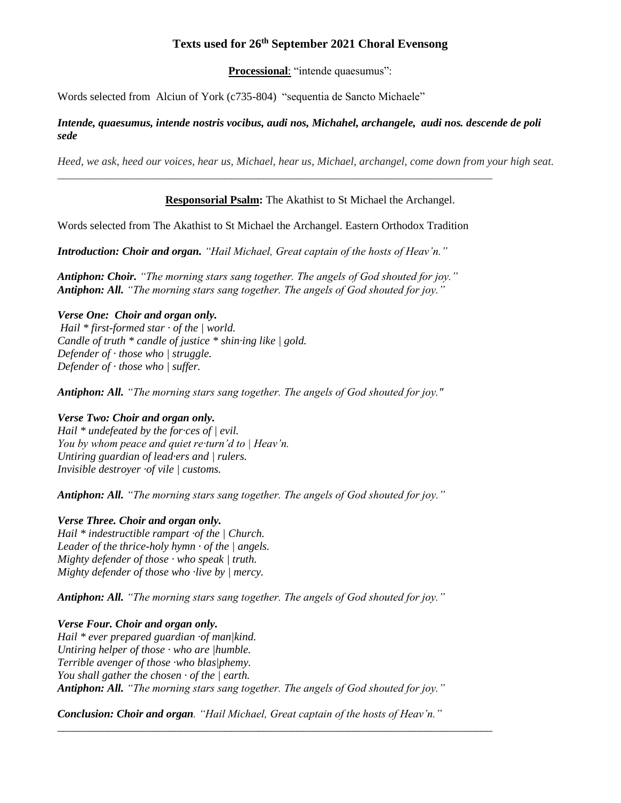# **Texts used for 26th September 2021 Choral Evensong**

**Processional**: "intende quaesumus":

Words selected from Alciun of York (c735-804) "sequentia de Sancto Michaele"

### *Intende, quaesumus, intende nostris vocibus, audi nos, Michahel, archangele, audi nos. descende de poli sede*

*Heed, we ask, heed our voices, hear us, Michael, hear us, Michael, archangel, come down from your high seat.* 

## **Responsorial Psalm:** The Akathist to St Michael the Archangel.

Words selected from The Akathist to St Michael the Archangel. Eastern Orthodox Tradition

\_\_\_\_\_\_\_\_\_\_\_\_\_\_\_\_\_\_\_\_\_\_\_\_\_\_\_\_\_\_\_\_\_\_\_\_\_\_\_\_\_\_\_\_\_\_\_\_\_\_\_\_\_\_\_\_\_\_\_\_\_\_\_\_\_\_\_\_\_\_\_\_\_\_\_\_\_\_

*Introduction: Choir and organ. "Hail Michael, Great captain of the hosts of Heav'n."*

*Antiphon: Choir. "The morning stars sang together. The angels of God shouted for joy." Antiphon: All. "The morning stars sang together. The angels of God shouted for joy."*

## *Verse One: Choir and organ only.*

*Hail \* first-formed star · of the | world. Candle of truth \* candle of justice \* shin·ing like | gold. Defender of · those who | struggle. Defender of · those who | suffer.*

*Antiphon: All. "The morning stars sang together. The angels of God shouted for joy."*

### *Verse Two: Choir and organ only.*

*Hail \* undefeated by the for·ces of | evil. You by whom peace and quiet re·turn'd to | Heav'n. Untiring guardian of lead·ers and | rulers. Invisible destroyer ·of vile | customs.*

*Antiphon: All. "The morning stars sang together. The angels of God shouted for joy."*

# *Verse Three. Choir and organ only.*

*Hail \* indestructible rampart ·of the | Church. Leader of the thrice-holy hymn · of the | angels. Mighty defender of those · who speak | truth. Mighty defender of those who ·live by | mercy.*

*Antiphon: All. "The morning stars sang together. The angels of God shouted for joy."*

# *Verse Four. Choir and organ only.*

*Hail \* ever prepared guardian ·of man|kind. Untiring helper of those · who are |humble. Terrible avenger of those ·who blas|phemy. You shall gather the chosen · of the | earth. Antiphon: All. "The morning stars sang together. The angels of God shouted for joy."*

*Conclusion: Choir and organ. "Hail Michael, Great captain of the hosts of Heav'n."*

*\_\_\_\_\_\_\_\_\_\_\_\_\_\_\_\_\_\_\_\_\_\_\_\_\_\_\_\_\_\_\_\_\_\_\_\_\_\_\_\_\_\_\_\_\_\_\_\_\_\_\_\_\_\_\_\_\_\_\_\_\_\_\_\_\_\_\_\_\_\_\_\_\_\_\_\_\_\_*